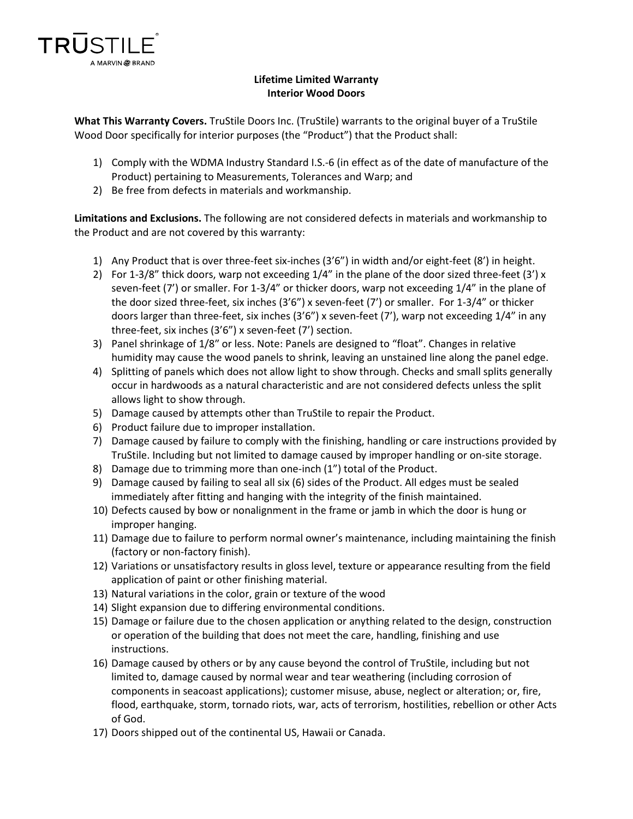

## **Lifetime Limited Warranty Interior Wood Doors**

**What This Warranty Covers.** TruStile Doors Inc. (TruStile) warrants to the original buyer of a TruStile Wood Door specifically for interior purposes (the "Product") that the Product shall:

- 1) Comply with the WDMA Industry Standard I.S.-6 (in effect as of the date of manufacture of the Product) pertaining to Measurements, Tolerances and Warp; and
- 2) Be free from defects in materials and workmanship.

**Limitations and Exclusions.** The following are not considered defects in materials and workmanship to the Product and are not covered by this warranty:

- 1) Any Product that is over three-feet six-inches (3'6") in width and/or eight-feet (8') in height.
- 2) For 1-3/8" thick doors, warp not exceeding  $1/4$ " in the plane of the door sized three-feet (3') x seven-feet (7') or smaller. For 1-3/4" or thicker doors, warp not exceeding 1/4" in the plane of the door sized three-feet, six inches (3'6") x seven-feet (7') or smaller. For 1-3/4" or thicker doors larger than three-feet, six inches  $(3'6'')$  x seven-feet  $(7')$ , warp not exceeding  $1/4''$  in any three-feet, six inches (3'6") x seven-feet (7') section.
- 3) Panel shrinkage of 1/8″ or less. Note: Panels are designed to "float". Changes in relative humidity may cause the wood panels to shrink, leaving an unstained line along the panel edge.
- 4) Splitting of panels which does not allow light to show through. Checks and small splits generally occur in hardwoods as a natural characteristic and are not considered defects unless the split allows light to show through.
- 5) Damage caused by attempts other than TruStile to repair the Product.
- 6) Product failure due to improper installation.
- 7) Damage caused by failure to comply with the finishing, handling or care instructions provided by TruStile. Including but not limited to damage caused by improper handling or on-site storage.
- 8) Damage due to trimming more than one-inch (1") total of the Product.
- 9) Damage caused by failing to seal all six (6) sides of the Product. All edges must be sealed immediately after fitting and hanging with the integrity of the finish maintained.
- 10) Defects caused by bow or nonalignment in the frame or jamb in which the door is hung or improper hanging.
- 11) Damage due to failure to perform normal owner's maintenance, including maintaining the finish (factory or non-factory finish).
- 12) Variations or unsatisfactory results in gloss level, texture or appearance resulting from the field application of paint or other finishing material.
- 13) Natural variations in the color, grain or texture of the wood
- 14) Slight expansion due to differing environmental conditions.
- 15) Damage or failure due to the chosen application or anything related to the design, construction or operation of the building that does not meet the care, handling, finishing and use instructions.
- 16) Damage caused by others or by any cause beyond the control of TruStile, including but not limited to, damage caused by normal wear and tear weathering (including corrosion of components in seacoast applications); customer misuse, abuse, neglect or alteration; or, fire, flood, earthquake, storm, tornado riots, war, acts of terrorism, hostilities, rebellion or other Acts of God.
- 17) Doors shipped out of the continental US, Hawaii or Canada.